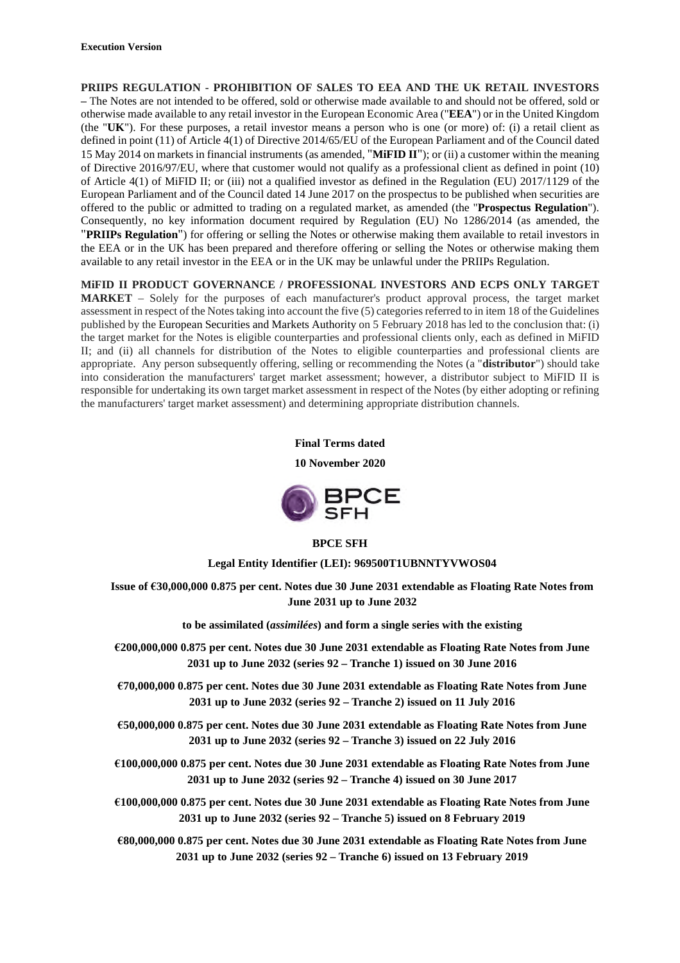**PRIIPS REGULATION - PROHIBITION OF SALES TO EEA AND THE UK RETAIL INVESTORS –** The Notes are not intended to be offered, sold or otherwise made available to and should not be offered, sold or otherwise made available to any retail investor in the European Economic Area ("**EEA**") or in the United Kingdom (the "**UK**"). For these purposes, a retail investor means a person who is one (or more) of: (i) a retail client as defined in point (11) of Article 4(1) of Directive 2014/65/EU of the European Parliament and of the Council dated 15 May 2014 on markets in financial instruments (as amended, "**MiFID II**"); or (ii) a customer within the meaning of Directive 2016/97/EU, where that customer would not qualify as a professional client as defined in point (10) of Article 4(1) of MiFID II; or (iii) not a qualified investor as defined in the Regulation (EU) 2017/1129 of the European Parliament and of the Council dated 14 June 2017 on the prospectus to be published when securities are offered to the public or admitted to trading on a regulated market, as amended (the "**Prospectus Regulation**"). Consequently, no key information document required by Regulation (EU) No 1286/2014 (as amended, the "**PRIIPs Regulation**") for offering or selling the Notes or otherwise making them available to retail investors in the EEA or in the UK has been prepared and therefore offering or selling the Notes or otherwise making them available to any retail investor in the EEA or in the UK may be unlawful under the PRIIPs Regulation.

**MiFID II PRODUCT GOVERNANCE / PROFESSIONAL INVESTORS AND ECPS ONLY TARGET MARKET** – Solely for the purposes of each manufacturer's product approval process, the target market assessment in respect of the Notes taking into account the five (5) categories referred to in item 18 of the Guidelines published by the European Securities and Markets Authority on 5 February 2018 has led to the conclusion that: (i) the target market for the Notes is eligible counterparties and professional clients only, each as defined in MiFID II; and (ii) all channels for distribution of the Notes to eligible counterparties and professional clients are appropriate. Any person subsequently offering, selling or recommending the Notes (a "**distributor**") should take into consideration the manufacturers' target market assessment; however, a distributor subject to MiFID II is responsible for undertaking its own target market assessment in respect of the Notes (by either adopting or refining the manufacturers' target market assessment) and determining appropriate distribution channels.

### **Final Terms dated**

**10 November 2020**



## **BPCE SFH**

**Legal Entity Identifier (LEI): 969500T1UBNNTYVWOS04**

**Issue of €30,000,000 0.875 per cent. Notes due 30 June 2031 extendable as Floating Rate Notes from June 2031 up to June 2032**

**to be assimilated (***assimilées***) and form a single series with the existing**

- **€200,000,000 0.875 per cent. Notes due 30 June 2031 extendable as Floating Rate Notes from June 2031 up to June 2032 (series 92 – Tranche 1) issued on 30 June 2016**
- **€70,000,000 0.875 per cent. Notes due 30 June 2031 extendable as Floating Rate Notes from June 2031 up to June 2032 (series 92 – Tranche 2) issued on 11 July 2016**
- **€50,000,000 0.875 per cent. Notes due 30 June 2031 extendable as Floating Rate Notes from June 2031 up to June 2032 (series 92 – Tranche 3) issued on 22 July 2016**
- **€100,000,000 0.875 per cent. Notes due 30 June 2031 extendable as Floating Rate Notes from June 2031 up to June 2032 (series 92 – Tranche 4) issued on 30 June 2017**
- **€100,000,000 0.875 per cent. Notes due 30 June 2031 extendable as Floating Rate Notes from June 2031 up to June 2032 (series 92 – Tranche 5) issued on 8 February 2019**

**€80,000,000 0.875 per cent. Notes due 30 June 2031 extendable as Floating Rate Notes from June 2031 up to June 2032 (series 92 – Tranche 6) issued on 13 February 2019**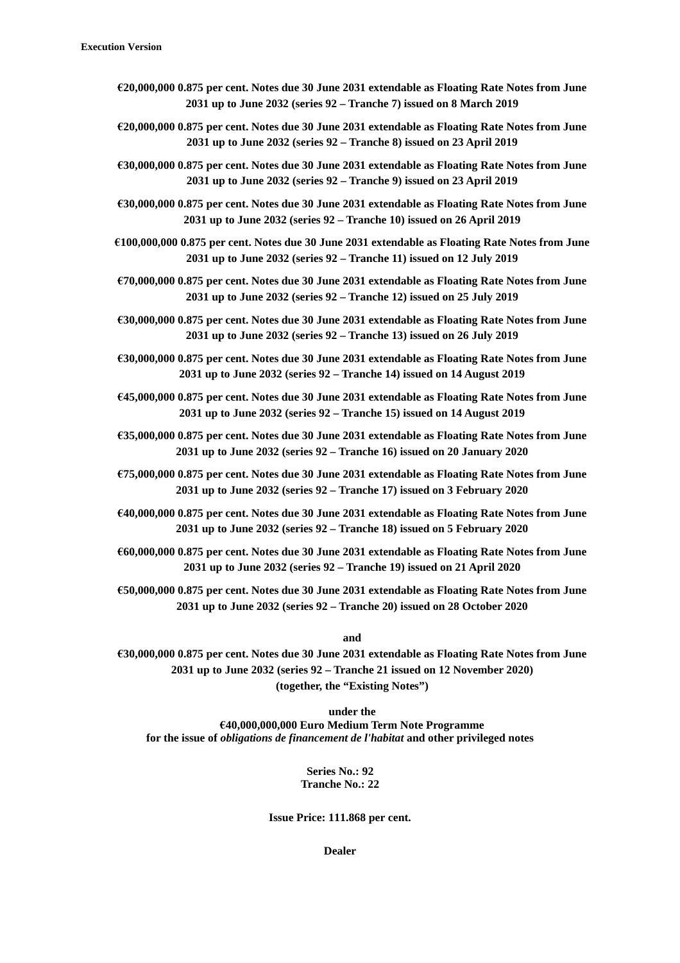- **€20,000,000 0.875 per cent. Notes due 30 June 2031 extendable as Floating Rate Notes from June 2031 up to June 2032 (series 92 – Tranche 7) issued on 8 March 2019**
- **€20,000,000 0.875 per cent. Notes due 30 June 2031 extendable as Floating Rate Notes from June 2031 up to June 2032 (series 92 – Tranche 8) issued on 23 April 2019**
- **€30,000,000 0.875 per cent. Notes due 30 June 2031 extendable as Floating Rate Notes from June 2031 up to June 2032 (series 92 – Tranche 9) issued on 23 April 2019**
- **€30,000,000 0.875 per cent. Notes due 30 June 2031 extendable as Floating Rate Notes from June 2031 up to June 2032 (series 92 – Tranche 10) issued on 26 April 2019**
- **€100,000,000 0.875 per cent. Notes due 30 June 2031 extendable as Floating Rate Notes from June 2031 up to June 2032 (series 92 – Tranche 11) issued on 12 July 2019**
- **€70,000,000 0.875 per cent. Notes due 30 June 2031 extendable as Floating Rate Notes from June 2031 up to June 2032 (series 92 – Tranche 12) issued on 25 July 2019**
- **€30,000,000 0.875 per cent. Notes due 30 June 2031 extendable as Floating Rate Notes from June 2031 up to June 2032 (series 92 – Tranche 13) issued on 26 July 2019**
- **€30,000,000 0.875 per cent. Notes due 30 June 2031 extendable as Floating Rate Notes from June 2031 up to June 2032 (series 92 – Tranche 14) issued on 14 August 2019**
- **€45,000,000 0.875 per cent. Notes due 30 June 2031 extendable as Floating Rate Notes from June 2031 up to June 2032 (series 92 – Tranche 15) issued on 14 August 2019**
- **€35,000,000 0.875 per cent. Notes due 30 June 2031 extendable as Floating Rate Notes from June 2031 up to June 2032 (series 92 – Tranche 16) issued on 20 January 2020**
- **€75,000,000 0.875 per cent. Notes due 30 June 2031 extendable as Floating Rate Notes from June 2031 up to June 2032 (series 92 – Tranche 17) issued on 3 February 2020**
- **€40,000,000 0.875 per cent. Notes due 30 June 2031 extendable as Floating Rate Notes from June 2031 up to June 2032 (series 92 – Tranche 18) issued on 5 February 2020**
- **€60,000,000 0.875 per cent. Notes due 30 June 2031 extendable as Floating Rate Notes from June 2031 up to June 2032 (series 92 – Tranche 19) issued on 21 April 2020**
- **€50,000,000 0.875 per cent. Notes due 30 June 2031 extendable as Floating Rate Notes from June 2031 up to June 2032 (series 92 – Tranche 20) issued on 28 October 2020**

**and**

**€30,000,000 0.875 per cent. Notes due 30 June 2031 extendable as Floating Rate Notes from June 2031 up to June 2032 (series 92 – Tranche 21 issued on 12 November 2020) (together, the "Existing Notes")**

**under the €40,000,000,000 Euro Medium Term Note Programme for the issue of** *obligations de financement de l'habitat* **and other privileged notes**

> **Series No.: 92 Tranche No.: 22**

**Issue Price: 111.868 per cent.**

**Dealer**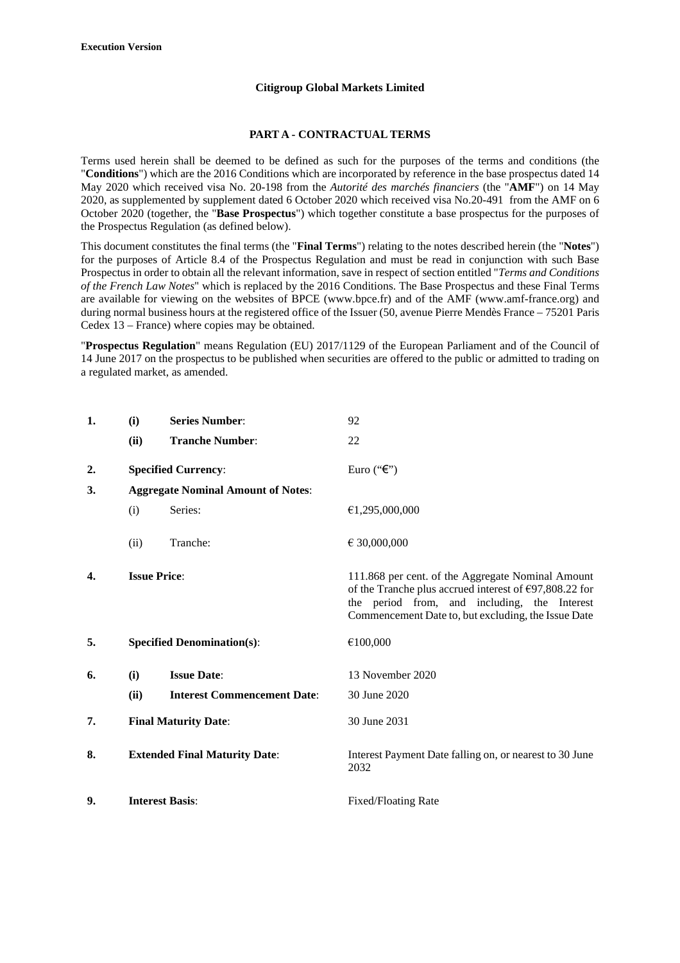### **Citigroup Global Markets Limited**

#### **PART A - CONTRACTUAL TERMS**

Terms used herein shall be deemed to be defined as such for the purposes of the terms and conditions (the "**Conditions**") which are the 2016 Conditions which are incorporated by reference in the base prospectus dated 14 May 2020 which received visa No. 20-198 from the *Autorité des marchés financiers* (the "**AMF**") on 14 May 2020, as supplemented by supplement dated 6 October 2020 which received visa No.20-491 from the AMF on 6 October 2020 (together, the "**Base Prospectus**") which together constitute a base prospectus for the purposes of the Prospectus Regulation (as defined below).

This document constitutes the final terms (the "**Final Terms**") relating to the notes described herein (the "**Notes**") for the purposes of Article 8.4 of the Prospectus Regulation and must be read in conjunction with such Base Prospectus in order to obtain all the relevant information, save in respect of section entitled "*Terms and Conditions of the French Law Notes*" which is replaced by the 2016 Conditions. The Base Prospectus and these Final Terms are available for viewing on the websites of BPCE (www.bpce.fr) and of the AMF (www.amf-france.org) and during normal business hours at the registered office of the Issuer (50, avenue Pierre Mendès France – 75201 Paris Cedex 13 – France) where copies may be obtained.

"**Prospectus Regulation**" means Regulation (EU) 2017/1129 of the European Parliament and of the Council of 14 June 2017 on the prospectus to be published when securities are offered to the public or admitted to trading on a regulated market, as amended.

| 1. | (i)                                       | <b>Series Number:</b>                | 92                                                                                                                                                                                                                           |
|----|-------------------------------------------|--------------------------------------|------------------------------------------------------------------------------------------------------------------------------------------------------------------------------------------------------------------------------|
|    | (ii)                                      | <b>Tranche Number:</b>               | 22                                                                                                                                                                                                                           |
| 2. |                                           | <b>Specified Currency:</b>           | Euro (" $\epsilon$ ")                                                                                                                                                                                                        |
| 3. | <b>Aggregate Nominal Amount of Notes:</b> |                                      |                                                                                                                                                                                                                              |
|    | (i)                                       | Series:                              | €1,295,000,000                                                                                                                                                                                                               |
|    | (ii)                                      | Tranche:                             | € 30,000,000                                                                                                                                                                                                                 |
| 4. | <b>Issue Price:</b>                       |                                      | 111.868 per cent. of the Aggregate Nominal Amount<br>of the Tranche plus accrued interest of $\epsilon$ 97,808.22 for<br>the period from, and including, the Interest<br>Commencement Date to, but excluding, the Issue Date |
| 5. |                                           | <b>Specified Denomination(s):</b>    | €100,000                                                                                                                                                                                                                     |
| 6. | (i)                                       | <b>Issue Date:</b>                   | 13 November 2020                                                                                                                                                                                                             |
|    | (ii)                                      | <b>Interest Commencement Date:</b>   | 30 June 2020                                                                                                                                                                                                                 |
| 7. | <b>Final Maturity Date:</b>               |                                      | 30 June 2031                                                                                                                                                                                                                 |
| 8. |                                           | <b>Extended Final Maturity Date:</b> | Interest Payment Date falling on, or nearest to 30 June<br>2032                                                                                                                                                              |
| 9. |                                           | <b>Interest Basis:</b>               | <b>Fixed/Floating Rate</b>                                                                                                                                                                                                   |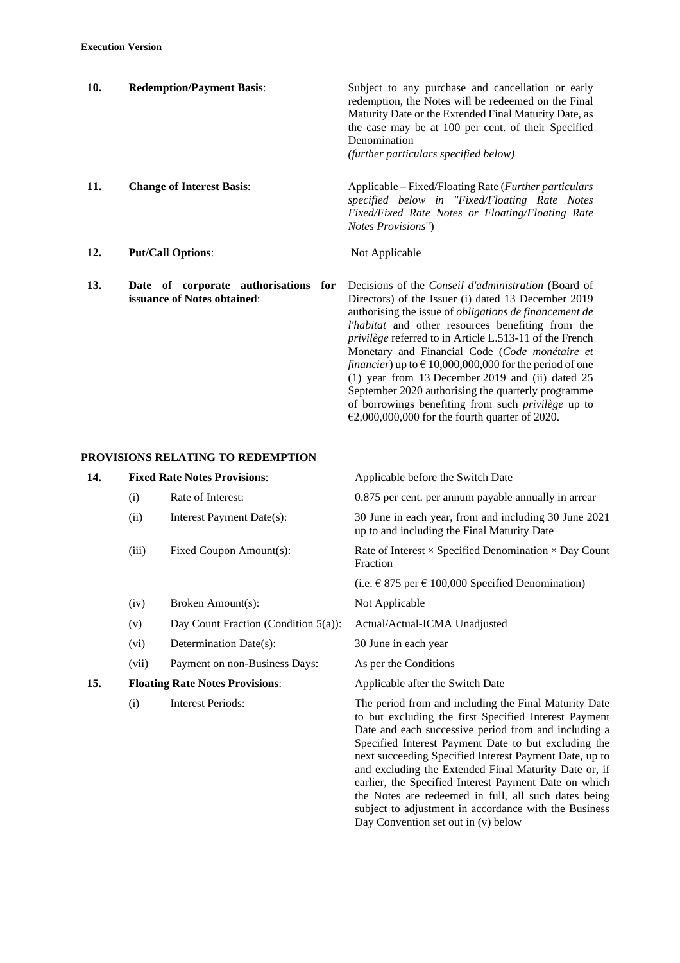| 10. | <b>Redemption/Payment Basis:</b>                                    | Subject to any purchase and cancellation or early<br>redemption, the Notes will be redeemed on the Final<br>Maturity Date or the Extended Final Maturity Date, as<br>the case may be at 100 per cent. of their Specified<br>Denomination<br>(further particulars specified below)                                                                                                                                                                                                                                                                                                                           |
|-----|---------------------------------------------------------------------|-------------------------------------------------------------------------------------------------------------------------------------------------------------------------------------------------------------------------------------------------------------------------------------------------------------------------------------------------------------------------------------------------------------------------------------------------------------------------------------------------------------------------------------------------------------------------------------------------------------|
| 11. | <b>Change of Interest Basis:</b>                                    | Applicable – Fixed/Floating Rate ( <i>Further particulars</i><br>specified below in "Fixed/Floating Rate Notes<br>Fixed/Fixed Rate Notes or Floating/Floating Rate<br><i>Notes Provisions"</i> )                                                                                                                                                                                                                                                                                                                                                                                                            |
| 12. | <b>Put/Call Options:</b>                                            | Not Applicable                                                                                                                                                                                                                                                                                                                                                                                                                                                                                                                                                                                              |
| 13. | Date of corporate authorisations for<br>issuance of Notes obtained: | Decisions of the <i>Conseil d'administration</i> (Board of<br>Directors) of the Issuer (i) dated 13 December 2019<br>authorising the issue of <i>obligations</i> de financement de<br>l'habitat and other resources benefiting from the<br>privilège referred to in Article L.513-11 of the French<br>Monetary and Financial Code (Code monétaire et<br><i>financier</i> ) up to $\epsilon$ 10,000,000,000 for the period of one<br>$(1)$ year from 13 December 2019 and $(ii)$ dated 25<br>September 2020 authorising the quarterly programme<br>of borrowings benefiting from such <i>privilège</i> up to |

# **PROVISIONS RELATING TO REDEMPTION**

| 14. |                                        | <b>Fixed Rate Notes Provisions:</b>     | Applicable before the Switch Date                                                                                                                                                                                                                                                                                                                                                                          |
|-----|----------------------------------------|-----------------------------------------|------------------------------------------------------------------------------------------------------------------------------------------------------------------------------------------------------------------------------------------------------------------------------------------------------------------------------------------------------------------------------------------------------------|
|     | (i)                                    | Rate of Interest:                       | 0.875 per cent. per annum payable annually in arrear                                                                                                                                                                                                                                                                                                                                                       |
|     | (ii)                                   | Interest Payment Date(s):               | 30 June in each year, from and including 30 June 2021<br>up to and including the Final Maturity Date                                                                                                                                                                                                                                                                                                       |
|     | (iii)                                  | Fixed Coupon Amount(s):                 | Rate of Interest $\times$ Specified Denomination $\times$ Day Count<br>Fraction                                                                                                                                                                                                                                                                                                                            |
|     |                                        |                                         | (i.e. $\in$ 875 per $\in$ 100,000 Specified Denomination)                                                                                                                                                                                                                                                                                                                                                  |
|     | (iv)                                   | Broken Amount(s):                       | Not Applicable                                                                                                                                                                                                                                                                                                                                                                                             |
|     | (v)                                    | Day Count Fraction (Condition $5(a)$ ): | Actual/Actual-ICMA Unadjusted                                                                                                                                                                                                                                                                                                                                                                              |
|     | (vi)                                   | Determination Date(s):                  | 30 June in each year                                                                                                                                                                                                                                                                                                                                                                                       |
|     | (vii)                                  | Payment on non-Business Days:           | As per the Conditions                                                                                                                                                                                                                                                                                                                                                                                      |
| 15. | <b>Floating Rate Notes Provisions:</b> |                                         | Applicable after the Switch Date                                                                                                                                                                                                                                                                                                                                                                           |
|     | (i)                                    | <b>Interest Periods:</b>                | The period from and including the Final Maturity Date<br>to but excluding the first Specified Interest Payment<br>Date and each successive period from and including a<br>Specified Interest Payment Date to but excluding the<br>next succeeding Specified Interest Payment Date, up to<br>and excluding the Extended Final Maturity Date or, if<br>earlier, the Specified Interest Payment Date on which |

 $\epsilon$ 2,000,000,000 for the fourth quarter of 2020.

the Notes are redeemed in full, all such dates being subject to adjustment in accordance with the Business

Day Convention set out in (v) below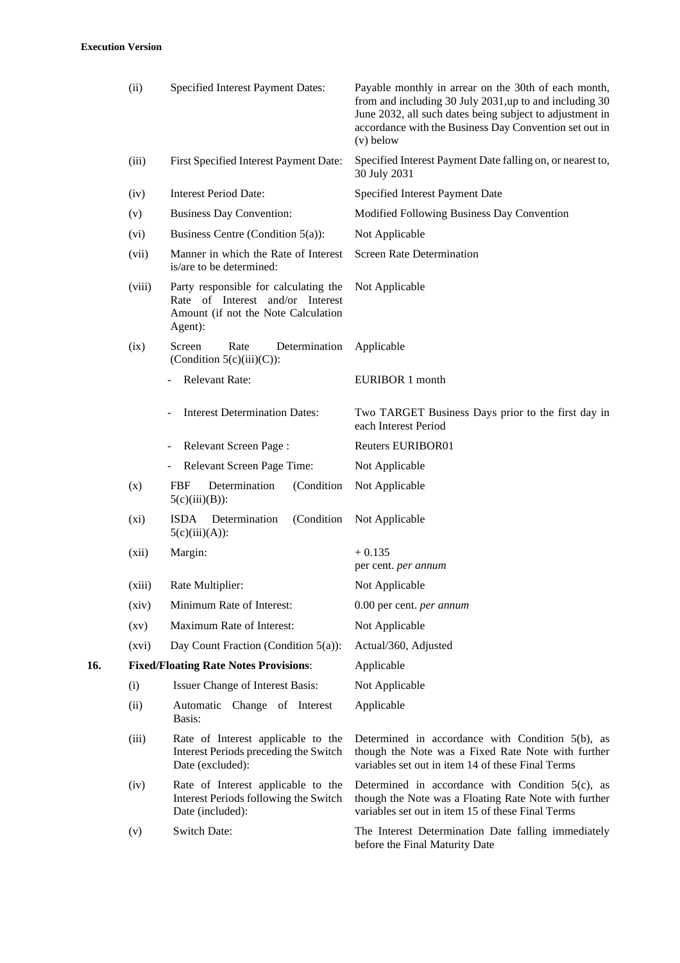|     | (ii)    | Specified Interest Payment Dates:                                                                                           | Payable monthly in arrear on the 30th of each month,<br>from and including 30 July 2031, up to and including 30<br>June 2032, all such dates being subject to adjustment in<br>accordance with the Business Day Convention set out in<br>$(v)$ below |
|-----|---------|-----------------------------------------------------------------------------------------------------------------------------|------------------------------------------------------------------------------------------------------------------------------------------------------------------------------------------------------------------------------------------------------|
|     | (iii)   | First Specified Interest Payment Date:                                                                                      | Specified Interest Payment Date falling on, or nearest to,<br>30 July 2031                                                                                                                                                                           |
|     | (iv)    | <b>Interest Period Date:</b>                                                                                                | Specified Interest Payment Date                                                                                                                                                                                                                      |
|     | (v)     | <b>Business Day Convention:</b>                                                                                             | Modified Following Business Day Convention                                                                                                                                                                                                           |
|     | (vi)    | Business Centre (Condition 5(a)):                                                                                           | Not Applicable                                                                                                                                                                                                                                       |
|     | (vii)   | Manner in which the Rate of Interest<br>is/are to be determined:                                                            | <b>Screen Rate Determination</b>                                                                                                                                                                                                                     |
|     | (viii)  | Party responsible for calculating the<br>Rate of Interest and/or Interest<br>Amount (if not the Note Calculation<br>Agent): | Not Applicable                                                                                                                                                                                                                                       |
|     | (ix)    | Screen<br>Rate<br>Determination<br>(Condition $5(c)(iii)(C)$ ):                                                             | Applicable                                                                                                                                                                                                                                           |
|     |         | Relevant Rate:                                                                                                              | <b>EURIBOR 1 month</b>                                                                                                                                                                                                                               |
|     |         | <b>Interest Determination Dates:</b>                                                                                        | Two TARGET Business Days prior to the first day in<br>each Interest Period                                                                                                                                                                           |
|     |         | Relevant Screen Page:                                                                                                       | <b>Reuters EURIBOR01</b>                                                                                                                                                                                                                             |
|     |         | Relevant Screen Page Time:                                                                                                  | Not Applicable                                                                                                                                                                                                                                       |
|     | (x)     | Determination<br>(Condition<br><b>FBF</b><br>$5(c)(iii)(B))$ :                                                              | Not Applicable                                                                                                                                                                                                                                       |
|     | $(x_i)$ | <b>ISDA</b><br>Determination<br>(Condition<br>$5(c)(iii)(A))$ :                                                             | Not Applicable                                                                                                                                                                                                                                       |
|     | (xii)   | Margin:                                                                                                                     | $+0.135$<br>per cent. per annum                                                                                                                                                                                                                      |
|     | (xiii)  | Rate Multiplier:                                                                                                            | Not Applicable                                                                                                                                                                                                                                       |
|     | (xiv)   | Minimum Rate of Interest:                                                                                                   | 0.00 per cent. per annum                                                                                                                                                                                                                             |
|     | (xv)    | Maximum Rate of Interest:                                                                                                   | Not Applicable                                                                                                                                                                                                                                       |
|     | (xvi)   | Day Count Fraction (Condition $5(a)$ ):                                                                                     | Actual/360, Adjusted                                                                                                                                                                                                                                 |
| 16. |         | <b>Fixed/Floating Rate Notes Provisions:</b>                                                                                | Applicable                                                                                                                                                                                                                                           |
|     | (i)     | Issuer Change of Interest Basis:                                                                                            | Not Applicable                                                                                                                                                                                                                                       |
|     | (ii)    | Automatic Change of Interest<br>Basis:                                                                                      | Applicable                                                                                                                                                                                                                                           |
|     | (iii)   | Rate of Interest applicable to the<br>Interest Periods preceding the Switch<br>Date (excluded):                             | Determined in accordance with Condition $5(b)$ , as<br>though the Note was a Fixed Rate Note with further<br>variables set out in item 14 of these Final Terms                                                                                       |
|     | (iv)    | Rate of Interest applicable to the<br>Interest Periods following the Switch<br>Date (included):                             | Determined in accordance with Condition $5(c)$ , as<br>though the Note was a Floating Rate Note with further<br>variables set out in item 15 of these Final Terms                                                                                    |
|     | (v)     | Switch Date:                                                                                                                | The Interest Determination Date falling immediately<br>before the Final Maturity Date                                                                                                                                                                |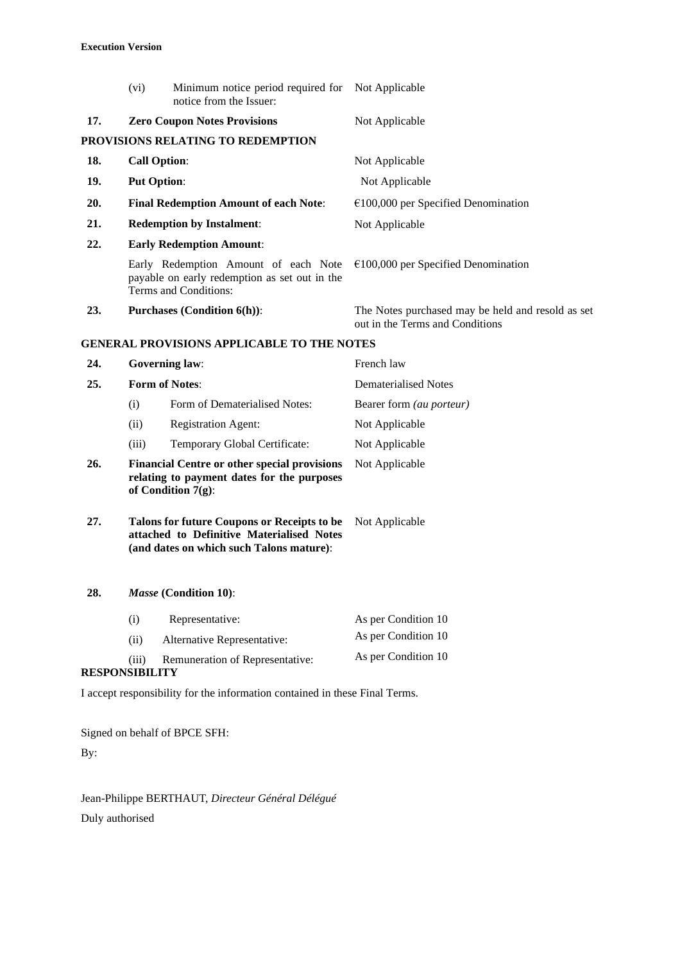|     | (vi)                           | Minimum notice period required for Not Applicable<br>notice from the Issuer:                                                         |                                                                                      |
|-----|--------------------------------|--------------------------------------------------------------------------------------------------------------------------------------|--------------------------------------------------------------------------------------|
| 17. |                                | <b>Zero Coupon Notes Provisions</b>                                                                                                  | Not Applicable                                                                       |
|     |                                | PROVISIONS RELATING TO REDEMPTION                                                                                                    |                                                                                      |
| 18. |                                | <b>Call Option:</b>                                                                                                                  | Not Applicable                                                                       |
| 19. |                                | <b>Put Option:</b>                                                                                                                   | Not Applicable                                                                       |
| 20. |                                | <b>Final Redemption Amount of each Note:</b>                                                                                         | $€100,000$ per Specified Denomination                                                |
| 21. |                                | <b>Redemption by Instalment:</b>                                                                                                     | Not Applicable                                                                       |
| 22. |                                | <b>Early Redemption Amount:</b>                                                                                                      |                                                                                      |
|     |                                | Early Redemption Amount of each Note<br>payable on early redemption as set out in the<br>Terms and Conditions:                       | $€100,000$ per Specified Denomination                                                |
| 23. |                                | <b>Purchases (Condition 6(h)):</b>                                                                                                   | The Notes purchased may be held and resold as set<br>out in the Terms and Conditions |
|     |                                | <b>GENERAL PROVISIONS APPLICABLE TO THE NOTES</b>                                                                                    |                                                                                      |
| 24. |                                | <b>Governing law:</b>                                                                                                                | French law                                                                           |
| 25. | <b>Form of Notes:</b>          |                                                                                                                                      | <b>Dematerialised Notes</b>                                                          |
|     | (i)                            | Form of Dematerialised Notes:                                                                                                        | Bearer form (au porteur)                                                             |
|     | (ii)                           | <b>Registration Agent:</b>                                                                                                           | Not Applicable                                                                       |
|     | (iii)                          | Temporary Global Certificate:                                                                                                        | Not Applicable                                                                       |
| 26. |                                | <b>Financial Centre or other special provisions</b><br>relating to payment dates for the purposes<br>of Condition $7(g)$ :           | Not Applicable                                                                       |
| 27. |                                | Talons for future Coupons or Receipts to be<br>attached to Definitive Materialised Notes<br>(and dates on which such Talons mature): | Not Applicable                                                                       |
| 28. |                                | Masse (Condition 10):                                                                                                                |                                                                                      |
|     | (i)                            | Representative:                                                                                                                      | As per Condition 10                                                                  |
|     | (ii)                           | Alternative Representative:                                                                                                          | As per Condition 10                                                                  |
|     | (iii)<br><b>RESPONSIBILITY</b> | Remuneration of Representative:                                                                                                      | As per Condition 10                                                                  |
|     |                                | I accept responsibility for the information contained in these Final Terms.                                                          |                                                                                      |
|     |                                |                                                                                                                                      |                                                                                      |

Signed on behalf of BPCE SFH: By:

Jean-Philippe BERTHAUT, *Directeur Général Délégué* Duly authorised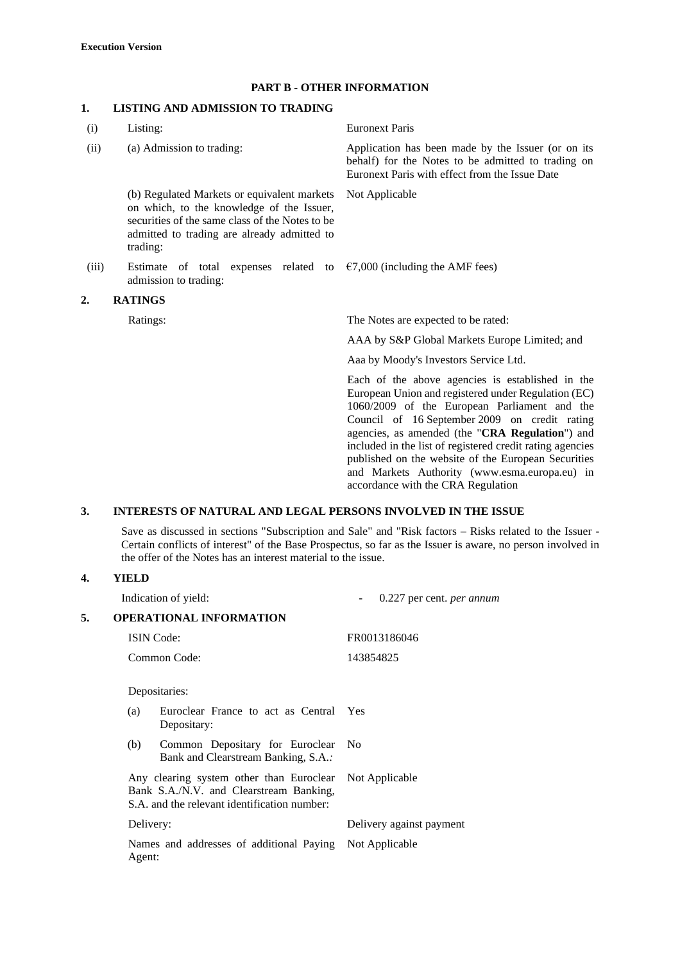## **PART B - OTHER INFORMATION**

# **1. LISTING AND ADMISSION TO TRADING**

| (i)                  | Listing:                                                                                                                                                                                               | <b>Euronext Paris</b>                                                                                                                                                                                                                                                                                                                                                                                                                                                  |
|----------------------|--------------------------------------------------------------------------------------------------------------------------------------------------------------------------------------------------------|------------------------------------------------------------------------------------------------------------------------------------------------------------------------------------------------------------------------------------------------------------------------------------------------------------------------------------------------------------------------------------------------------------------------------------------------------------------------|
| (ii)                 | (a) Admission to trading:                                                                                                                                                                              | Application has been made by the Issuer (or on its<br>behalf) for the Notes to be admitted to trading on<br>Euronext Paris with effect from the Issue Date                                                                                                                                                                                                                                                                                                             |
|                      | (b) Regulated Markets or equivalent markets<br>on which, to the knowledge of the Issuer,<br>securities of the same class of the Notes to be<br>admitted to trading are already admitted to<br>trading: | Not Applicable                                                                                                                                                                                                                                                                                                                                                                                                                                                         |
| (iii)                | Estimate of total expenses related to $\epsilon$ 7,000 (including the AMF fees)<br>admission to trading:                                                                                               |                                                                                                                                                                                                                                                                                                                                                                                                                                                                        |
| <b>RATINGS</b><br>2. |                                                                                                                                                                                                        |                                                                                                                                                                                                                                                                                                                                                                                                                                                                        |
|                      | Ratings:                                                                                                                                                                                               | The Notes are expected to be rated:                                                                                                                                                                                                                                                                                                                                                                                                                                    |
|                      |                                                                                                                                                                                                        | AAA by S&P Global Markets Europe Limited; and                                                                                                                                                                                                                                                                                                                                                                                                                          |
|                      |                                                                                                                                                                                                        | Aaa by Moody's Investors Service Ltd.                                                                                                                                                                                                                                                                                                                                                                                                                                  |
|                      |                                                                                                                                                                                                        | Each of the above agencies is established in the<br>European Union and registered under Regulation (EC)<br>1060/2009 of the European Parliament and the<br>Council of 16 September 2009 on credit rating<br>agencies, as amended (the "CRA Regulation") and<br>included in the list of registered credit rating agencies<br>published on the website of the European Securities<br>and Markets Authority (www.esma.europa.eu) in<br>accordance with the CRA Regulation |
| 3.                   | <b>INTERESTS OF NATURAL AND LEGAL PERSONS INVOLVED IN THE ISSUE</b>                                                                                                                                    |                                                                                                                                                                                                                                                                                                                                                                                                                                                                        |

Save as discussed in sections "Subscription and Sale" and "Risk factors – Risks related to the Issuer - Certain conflicts of interest" of the Base Prospectus, so far as the Issuer is aware, no person involved in the offer of the Notes has an interest material to the issue.

## **4. YIELD**

|    | Indication of yield:                                                                                                                               | 0.227 per cent. per annum |
|----|----------------------------------------------------------------------------------------------------------------------------------------------------|---------------------------|
| 5. | <b>OPERATIONAL INFORMATION</b>                                                                                                                     |                           |
|    | <b>ISIN</b> Code:                                                                                                                                  | FR0013186046              |
|    | Common Code:                                                                                                                                       | 143854825                 |
|    | Depositaries:                                                                                                                                      |                           |
|    | Euroclear France to act as Central<br>(a)<br>Depositary:                                                                                           | <b>Yes</b>                |
|    | Common Depositary for Euroclear<br>(b)<br>Bank and Clearstream Banking, S.A.:                                                                      | N <sub>0</sub>            |
|    | Any clearing system other than Euroclear Not Applicable<br>Bank S.A./N.V. and Clearstream Banking,<br>S.A. and the relevant identification number: |                           |
|    | Delivery:                                                                                                                                          | Delivery against payment  |
|    | Names and addresses of additional Paying<br>Agent:                                                                                                 | Not Applicable            |
|    |                                                                                                                                                    |                           |